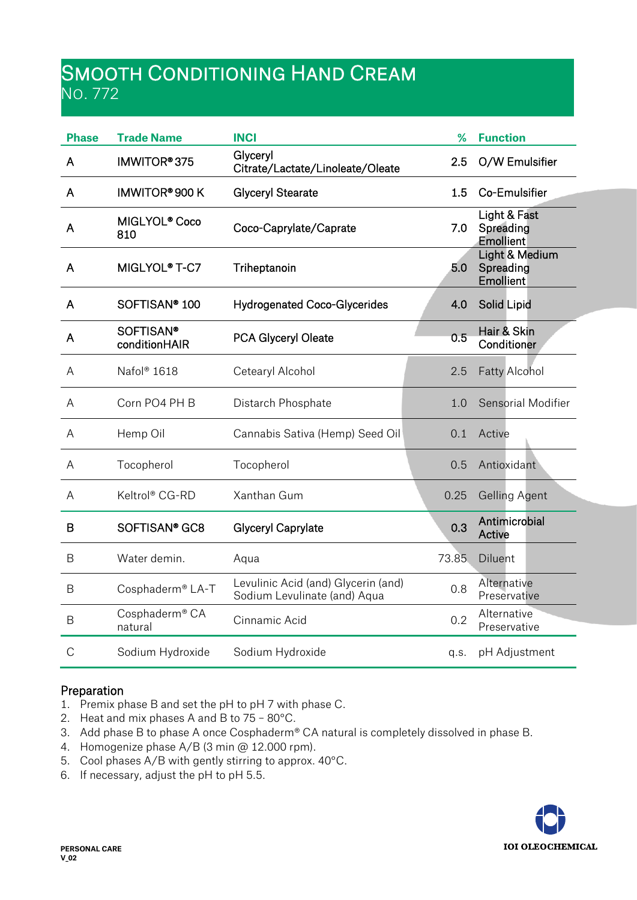# Smooth Conditioning Hand Cream No. 772

| <b>Phase</b>  | <b>Trade Name</b>                 | <b>INCI</b>                                                         | %     | <b>Function</b>                          |
|---------------|-----------------------------------|---------------------------------------------------------------------|-------|------------------------------------------|
| A             | IMWITOR®375                       | Glyceryl<br>Citrate/Lactate/Linoleate/Oleate                        | 2.5   | O/W Emulsifier                           |
| A             | IMWITOR® 900 K                    | <b>Glyceryl Stearate</b>                                            | 1.5   | Co-Emulsifier                            |
| A             | MIGLYOL <sup>®</sup> Coco<br>810  | Coco-Caprylate/Caprate                                              | 7.0   | Light & Fast<br>Spreading<br>Emollient   |
| A             | MIGLYOL <sup>®</sup> T-C7         | Triheptanoin                                                        | 5.0   | Light & Medium<br>Spreading<br>Emollient |
| A             | SOFTISAN <sup>®</sup> 100         | <b>Hydrogenated Coco-Glycerides</b>                                 | 4.0   | Solid Lipid                              |
| A             | <b>SOFTISAN®</b><br>conditionHAIR | PCA Glyceryl Oleate                                                 | 0.5   | Hair & Skin<br>Conditioner               |
| A             | Nafol <sup>®</sup> 1618           | Cetearyl Alcohol                                                    | 2.5   | <b>Fatty Alcohol</b>                     |
| A             | Corn PO4 PH B                     | Distarch Phosphate                                                  | 1.0   | Sensorial Modifier                       |
| A             | Hemp Oil                          | Cannabis Sativa (Hemp) Seed Oil                                     | 0.1   | Active                                   |
| A             | Tocopherol                        | Tocopherol                                                          | 0.5   | Antioxidant                              |
| A             | Keltrol® CG-RD                    | Xanthan Gum                                                         | 0.25  | <b>Gelling Agent</b>                     |
| B             | SOFTISAN <sup>®</sup> GC8         | <b>Glyceryl Caprylate</b>                                           | 0.3   | Antimicrobial<br>Active                  |
| B             | Water demin.                      | Aqua                                                                | 73.85 | Diluent                                  |
| B             | Cosphaderm® LA-T                  | Levulinic Acid (and) Glycerin (and)<br>Sodium Levulinate (and) Aqua | 0.8   | Alternative<br>Preservative              |
| B             | Cosphaderm® CA<br>natural         | Cinnamic Acid                                                       | 0.2   | Alternative<br>Preservative              |
| $\mathcal{C}$ | Sodium Hydroxide                  | Sodium Hydroxide                                                    | q.s.  | pH Adjustment                            |

## Preparation

- 1. Premix phase B and set the pH to pH 7 with phase C.
- 2. Heat and mix phases A and B to 75 80°C.
- 3. Add phase B to phase A once Cosphaderm® CA natural is completely dissolved in phase B.
- 4. Homogenize phase A/B (3 min @ 12.000 rpm).
- 5. Cool phases A/B with gently stirring to approx. 40°C.
- 6. If necessary, adjust the pH to pH 5.5.